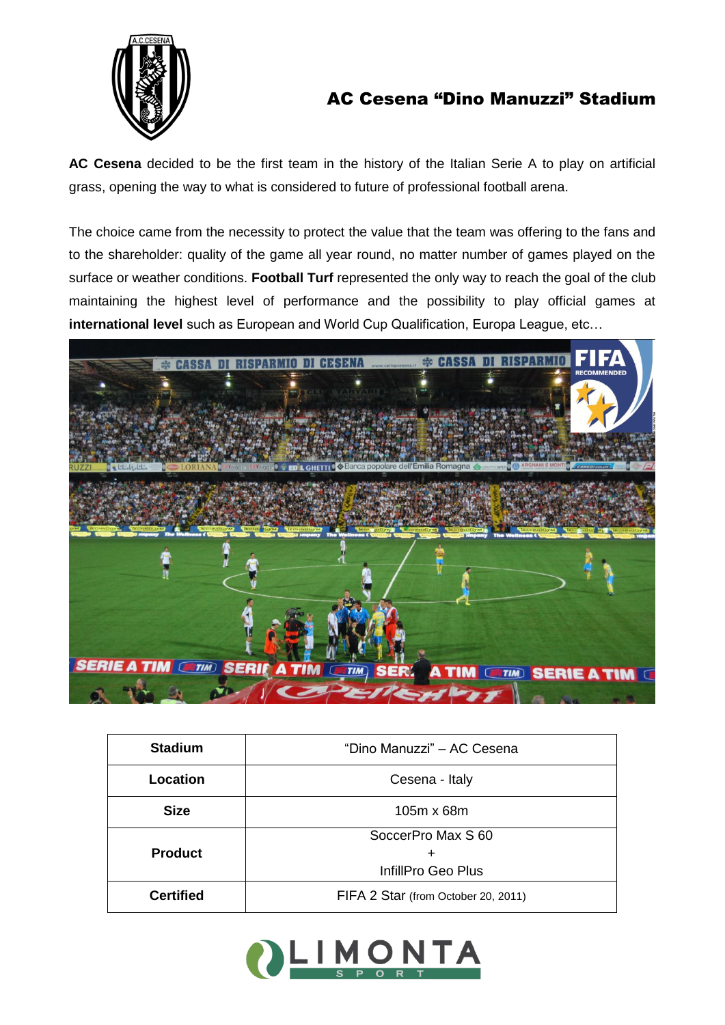

## AC Cesena "Dino Manuzzi" Stadium

**AC Cesena** decided to be the first team in the history of the Italian Serie A to play on artificial grass, opening the way to what is considered to future of professional football arena.

The choice came from the necessity to protect the value that the team was offering to the fans and to the shareholder: quality of the game all year round, no matter number of games played on the surface or weather conditions. **Football Turf** represented the only way to reach the goal of the club maintaining the highest level of performance and the possibility to play official games at **international level** such as European and World Cup Qualification, Europa League, etc…



| <b>Stadium</b>   | "Dino Manuzzi" - AC Cesena          |
|------------------|-------------------------------------|
| Location         | Cesena - Italy                      |
| <b>Size</b>      | 105m x 68m                          |
|                  | SoccerPro Max S 60                  |
| <b>Product</b>   |                                     |
|                  | InfillPro Geo Plus                  |
| <b>Certified</b> | FIFA 2 Star (from October 20, 2011) |

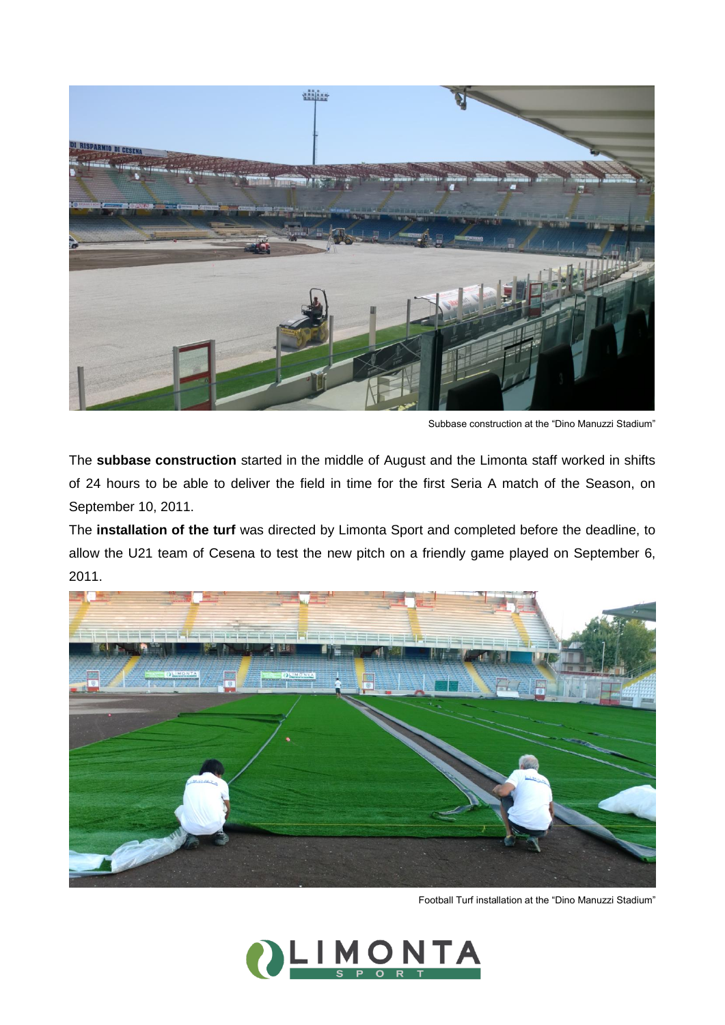

Subbase construction at the "Dino Manuzzi Stadium"

The **subbase construction** started in the middle of August and the Limonta staff worked in shifts of 24 hours to be able to deliver the field in time for the first Seria A match of the Season, on September 10, 2011.

The **installation of the turf** was directed by Limonta Sport and completed before the deadline, to allow the U21 team of Cesena to test the new pitch on a friendly game played on September 6, 2011.



Football Turf installation at the "Dino Manuzzi Stadium"

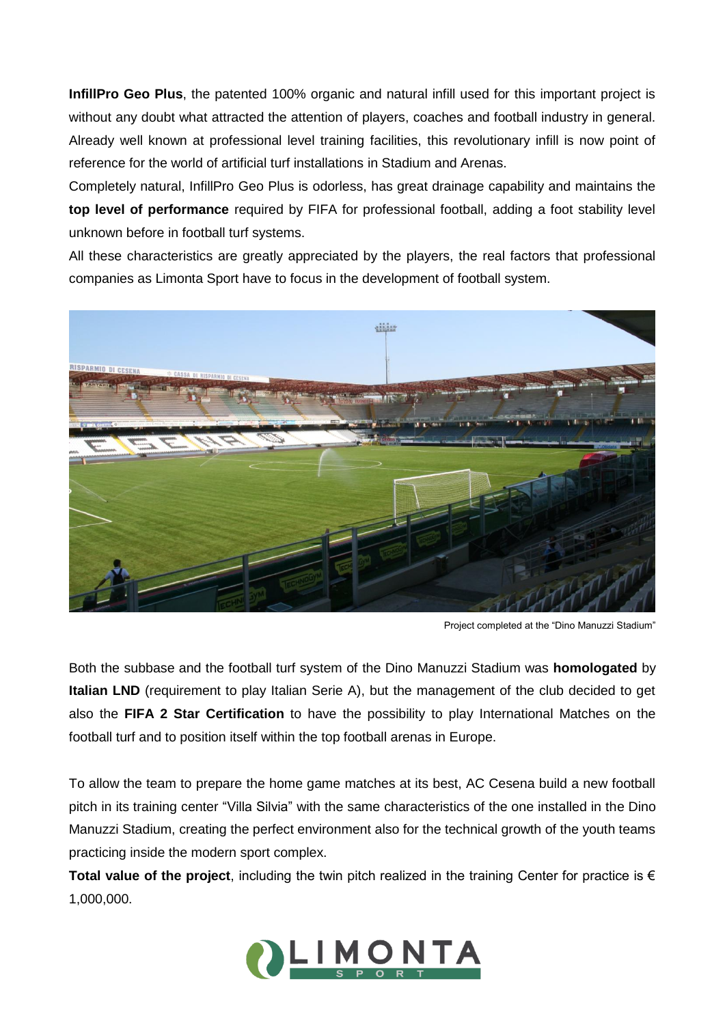**InfillPro Geo Plus**, the patented 100% organic and natural infill used for this important project is without any doubt what attracted the attention of players, coaches and football industry in general. Already well known at professional level training facilities, this revolutionary infill is now point of reference for the world of artificial turf installations in Stadium and Arenas.

Completely natural, InfillPro Geo Plus is odorless, has great drainage capability and maintains the **top level of performance** required by FIFA for professional football, adding a foot stability level unknown before in football turf systems.

All these characteristics are greatly appreciated by the players, the real factors that professional companies as Limonta Sport have to focus in the development of football system.



Project completed at the "Dino Manuzzi Stadium"

Both the subbase and the football turf system of the Dino Manuzzi Stadium was **homologated** by **Italian LND** (requirement to play Italian Serie A), but the management of the club decided to get also the **FIFA 2 Star Certification** to have the possibility to play International Matches on the football turf and to position itself within the top football arenas in Europe.

To allow the team to prepare the home game matches at its best, AC Cesena build a new football pitch in its training center "Villa Silvia" with the same characteristics of the one installed in the Dino Manuzzi Stadium, creating the perfect environment also for the technical growth of the youth teams practicing inside the modern sport complex.

**Total value of the project**, including the twin pitch realized in the training Center for practice is € 1,000,000.